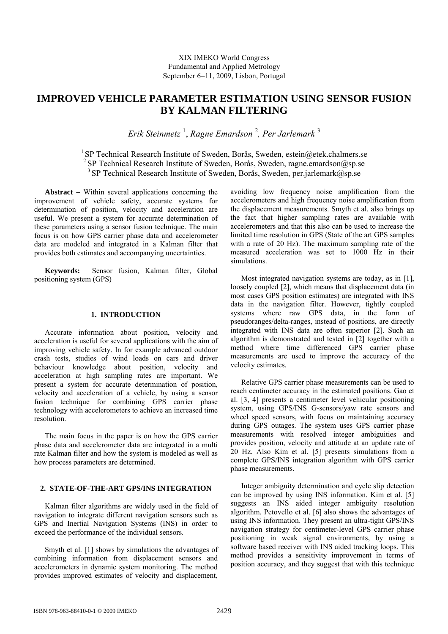# **IMPROVED VEHICLE PARAMETER ESTIMATION USING SENSOR FUSION BY KALMAN FILTERING**

*Erik Steinmetz* <sup>1</sup> , *Ragne Emardson* <sup>2</sup> *, Per Jarlemark* <sup>3</sup>

<sup>1</sup> SP Technical Research Institute of Sweden, Borås, Sweden, estein@etek.chalmers.se <sup>2</sup> SP Technical Research Institute of Sweden, Borås, Sweden, ragne.emardson@sp.se <sup>3</sup> SP Technical Research Institute of Sweden, Borås, Sweden, per.jarlemark@sp.se

**Abstract** − Within several applications concerning the improvement of vehicle safety, accurate systems for determination of position, velocity and acceleration are useful. We present a system for accurate determination of these parameters using a sensor fusion technique. The main focus is on how GPS carrier phase data and accelerometer data are modeled and integrated in a Kalman filter that provides both estimates and accompanying uncertainties.

**Keywords:** Sensor fusion, Kalman filter, Global positioning system (GPS)

# **1. INTRODUCTION**

Accurate information about position, velocity and acceleration is useful for several applications with the aim of improving vehicle safety. In for example advanced outdoor crash tests, studies of wind loads on cars and driver behaviour knowledge about position, velocity and acceleration at high sampling rates are important. We present a system for accurate determination of position, velocity and acceleration of a vehicle, by using a sensor fusion technique for combining GPS carrier phase technology with accelerometers to achieve an increased time resolution.

The main focus in the paper is on how the GPS carrier phase data and accelerometer data are integrated in a multi rate Kalman filter and how the system is modeled as well as how process parameters are determined.

# **2. STATE-OF-THE-ART GPS/INS INTEGRATION**

Kalman filter algorithms are widely used in the field of navigation to integrate different navigation sensors such as GPS and Inertial Navigation Systems (INS) in order to exceed the performance of the individual sensors.

Smyth et al. [1] shows by simulations the advantages of combining information from displacement sensors and accelerometers in dynamic system monitoring. The method provides improved estimates of velocity and displacement,

avoiding low frequency noise amplification from the accelerometers and high frequency noise amplification from the displacement measurements. Smyth et al. also brings up the fact that higher sampling rates are available with accelerometers and that this also can be used to increase the limited time resolution in GPS (State of the art GPS samples with a rate of 20 Hz). The maximum sampling rate of the measured acceleration was set to 1000 Hz in their simulations.

Most integrated navigation systems are today, as in [1], loosely coupled [2], which means that displacement data (in most cases GPS position estimates) are integrated with INS data in the navigation filter. However, tightly coupled systems where raw GPS data, in the form of pseudoranges/delta-ranges, instead of positions, are directly integrated with INS data are often superior [2]. Such an algorithm is demonstrated and tested in [2] together with a method where time differenced GPS carrier phase measurements are used to improve the accuracy of the velocity estimates.

Relative GPS carrier phase measurements can be used to reach centimeter accuracy in the estimated positions. Gao et al. [3, 4] presents a centimeter level vehicular positioning system, using GPS/INS G-sensors/yaw rate sensors and wheel speed sensors, with focus on maintaining accuracy during GPS outages. The system uses GPS carrier phase measurements with resolved integer ambiguities and provides position, velocity and attitude at an update rate of 20 Hz. Also Kim et al. [5] presents simulations from a complete GPS/INS integration algorithm with GPS carrier phase measurements.

Integer ambiguity determination and cycle slip detection can be improved by using INS information. Kim et al. [5] suggests an INS aided integer ambiguity resolution algorithm. Petovello et al. [6] also shows the advantages of using INS information. They present an ultra-tight GPS/INS navigation strategy for centimeter-level GPS carrier phase positioning in weak signal environments, by using a software based receiver with INS aided tracking loops. This method provides a sensitivity improvement in terms of position accuracy, and they suggest that with this technique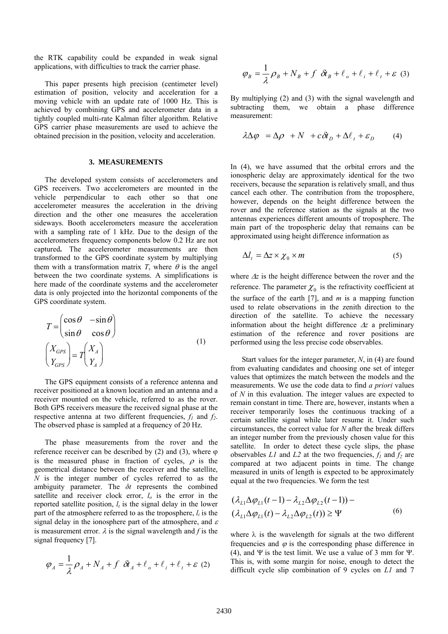the RTK capability could be expanded in weak signal applications, with difficulties to track the carrier phase.

This paper presents high precision (centimeter level) estimation of position, velocity and acceleration for a moving vehicle with an update rate of 1000 Hz. This is achieved by combining GPS and accelerometer data in a tightly coupled multi-rate Kalman filter algorithm. Relative GPS carrier phase measurements are used to achieve the obtained precision in the position, velocity and acceleration.

## **3. MEASUREMENTS**

The developed system consists of accelerometers and GPS receivers. Two accelerometers are mounted in the vehicle perpendicular to each other so that one accelerometer measures the acceleration in the driving direction and the other one measures the acceleration sideways. Booth accelerometers measure the acceleration with a sampling rate of 1 kHz. Due to the design of the accelerometers frequency components below 0.2 Hz are not captured**.** The accelerometer measurements are then transformed to the GPS coordinate system by multiplying them with a transformation matrix  $T$ , where  $\theta$  is the angel between the two coordinate systems. A simplifications is here made of the coordinate systems and the accelerometer data is only projected into the horizontal components of the GPS coordinate system.

$$
T = \begin{pmatrix} \cos \theta & -\sin \theta \\ \sin \theta & \cos \theta \end{pmatrix}
$$
  
\n
$$
\begin{pmatrix} X_{GPS} \\ Y_{GPS} \end{pmatrix} = T \begin{pmatrix} X_A \\ Y_A \end{pmatrix}
$$
 (1)

The GPS equipment consists of a reference antenna and receiver positioned at a known location and an antenna and a receiver mounted on the vehicle, referred to as the rover. Both GPS receivers measure the received signal phase at the respective antenna at two different frequencies,  $f_1$  and  $f_2$ . The observed phase is sampled at a frequency of 20 Hz.

The phase measurements from the rover and the reference receiver can be described by  $(2)$  and  $(3)$ , where  $\varphi$ is the measured phase in fraction of cycles,  $\rho$  is the geometrical distance between the receiver and the satellite, *N* is the integer number of cycles referred to as the ambiguity parameter. The *δt* represents the combined satellite and receiver clock error,  $l<sub>o</sub>$  is the error in the reported satellite position,  $l_t$  is the signal delay in the lower part of the atmosphere referred to as the troposphere,  $l_i$  is the signal delay in the ionosphere part of the atmosphere, and  $\varepsilon$ is measurement error.  $\lambda$  is the signal wavelength and  $f$  is the signal frequency [7].

$$
\varphi_A = \frac{1}{\lambda} \rho_A + N_A + f \, \delta t_A + \ell_o + \ell_i + \ell_t + \varepsilon \tag{2}
$$

$$
\varphi_B = \frac{1}{\lambda} \rho_B + N_B + f \, \delta t_B + \ell_o + \ell_i + \ell_t + \varepsilon \tag{3}
$$

By multiplying (2) and (3) with the signal wavelength and subtracting them, we obtain a phase difference measurement:

$$
\lambda \Delta \varphi = \Delta \rho + N + c \delta t_D + \Delta \ell_t + \varepsilon_D \tag{4}
$$

In (4), we have assumed that the orbital errors and the ionospheric delay are approximately identical for the two receivers, because the separation is relatively small, and thus cancel each other. The contribution from the troposphere, however, depends on the height difference between the rover and the reference station as the signals at the two antennas experiences different amounts of troposphere. The main part of the tropospheric delay that remains can be approximated using height difference information as

$$
\Delta l_t = \Delta z \times \chi_0 \times m \tag{5}
$$

where Δ*z* is the height difference between the rover and the reference. The parameter  $\chi_0$  is the refractivity coefficient at the surface of the earth [7], and *m* is a mapping function used to relate observations in the zenith direction to the direction of the satellite. To achieve the necessary information about the height difference Δ*z* a preliminary estimation of the reference and rover positions are performed using the less precise code observables.

 Start values for the integer parameter, *N*, in (4) are found from evaluating candidates and choosing one set of integer values that optimizes the match between the models and the measurements. We use the code data to find *a priori* values of *N* in this evaluation. The integer values are expected to remain constant in time. There are, however, instants when a receiver temporarily loses the continuous tracking of a certain satellite signal while later resume it. Under such circumstances, the correct value for *N* after the break differs an integer number from the previously chosen value for this satellite. In order to detect these cycle slips, the phase observables *L1* and *L2* at the two frequencies,  $f_1$  and  $f_2$  are compared at two adjacent points in time. The change measured in units of length is expected to be approximately equal at the two frequencies. We form the test

$$
(\lambda_{L1}\Delta\varphi_{L1}(t-1) - \lambda_{L2}\Delta\varphi_{L2}(t-1)) -
$$
  

$$
(\lambda_{L1}\Delta\varphi_{L1}(t) - \lambda_{L2}\Delta\varphi_{L2}(t)) \ge \Psi
$$
 (6)

where  $\lambda$  is the wavelength for signals at the two different frequencies and  $\varphi$  is the corresponding phase difference in (4), and Ψ is the test limit. We use a value of 3 mm for Ψ. This is, with some margin for noise, enough to detect the difficult cycle slip combination of 9 cycles on *L1* and 7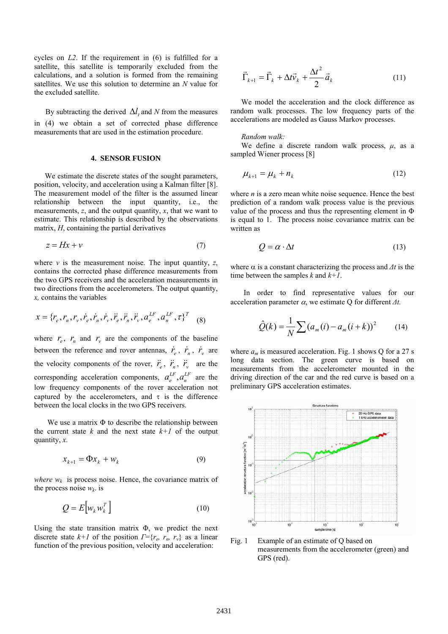cycles on *L2*. If the requirement in (6) is fulfilled for a satellite, this satellite is temporarily excluded from the calculations, and a solution is formed from the remaining satellites. We use this solution to determine an *N* value for the excluded satellite.

By subtracting the derived  $\Delta l$  and *N* from the measures in (4) we obtain a set of corrected phase difference measurements that are used in the estimation procedure.

## **4. SENSOR FUSION**

We estimate the discrete states of the sought parameters, position, velocity, and acceleration using a Kalman filter [8]. The measurement model of the filter is the assumed linear relationship between the input quantity, i.e., the measurements, *z*, and the output quantity, *x*, that we want to estimate. This relationship is described by the observations matrix, *H*, containing the partial derivatives

$$
z = Hx + v \tag{7}
$$

where  $\nu$  is the measurement noise. The input quantity,  $z$ , contains the corrected phase difference measurements from the two GPS receivers and the acceleration measurements in two directions from the accelerometers. The output quantity, *x,* contains the variables

$$
x = \{r_e, r_n, r_v, \dot{r}_e, \dot{r}_n, \dot{r}_v, \ddot{r}_e, \ddot{r}_n, \ddot{r}_v, a_e^{LF}, a_n^{LF}, \tau\}^T
$$
 (8)

where  $r_e$ ,  $r_n$  and  $r_v$  are the components of the baseline between the reference and rover antennas,  $\dot{r}_e$ ,  $\dot{r}_n$ ,  $\dot{r}_v$  are the velocity components of the rover,  $\ddot{r}_e$ ,  $\ddot{r}_n$ ,  $\ddot{r}_v$  are the corresponding acceleration components,  $a_e^{LF}, a_n^{LF}$  are the low frequency components of the rover acceleration not captured by the accelerometers, and  $\tau$  is the difference between the local clocks in the two GPS receivers.

We use a matrix  $\Phi$  to describe the relationship between the current state  $k$  and the next state  $k+1$  of the output quantity, *x*.

$$
x_{k+1} = \Phi x_k + w_k \tag{9}
$$

*where*  $w_k$  is process noise. Hence, the covariance matrix of the process noise  $w_k$ . is

$$
Q = E\big[ w_k w_k^T \big] \tag{10}
$$

Using the state transition matrix  $\Phi$ , we predict the next discrete state  $k+1$  of the position  $\Gamma = \{r_e, r_n, r_v\}$  as a linear function of the previous position, velocity and acceleration:

$$
\vec{\Gamma}_{k+1} = \vec{\Gamma}_k + \Delta t \vec{v}_k + \frac{\Delta t^2}{2} \vec{a}_k
$$
\n(11)

We model the acceleration and the clock difference as random walk processes. The low frequency parts of the accelerations are modeled as Gauss Markov processes.

## *Random walk:*

We define a discrete random walk process,  $\mu$ , as a sampled Wiener process [8]

$$
\mu_{k+1} = \mu_k + n_k \tag{12}
$$

where *n* is a zero mean white noise sequence. Hence the best prediction of a random walk process value is the previous value of the process and thus the representing element in Φ is equal to 1. The process noise covariance matrix can be written as

$$
Q = \alpha \cdot \Delta t \tag{13}
$$

where  $\alpha$  is a constant characterizing the process and  $\Delta t$  is the time between the samples *k* and *k+1*.

 In order to find representative values for our acceleration parameter α, we estimate Q for different *Δt.*

$$
\hat{Q}(k) = \frac{1}{N} \sum (a_m(i) - a_m(i+k))^2
$$
 (14)

where  $a_m$  is measured acceleration. Fig. 1 shows Q for a 27 s long data section. The green curve is based on measurements from the accelerometer mounted in the driving direction of the car and the red curve is based on a preliminary GPS acceleration estimates.



Fig. 1 Example of an estimate of O based on measurements from the accelerometer (green) and GPS (red).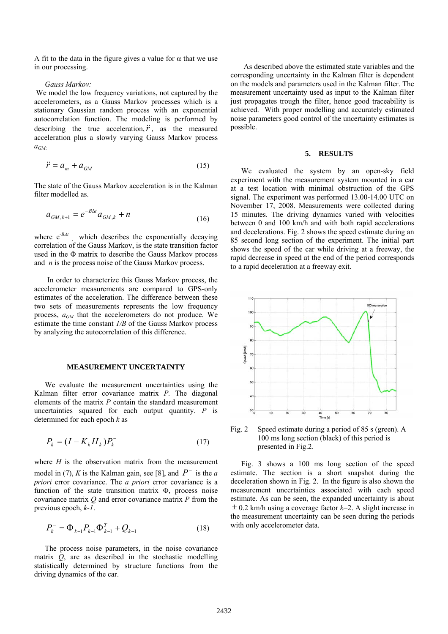A fit to the data in the figure gives a value for  $\alpha$  that we use in our processing.

#### *Gauss Markov:*

 We model the low frequency variations, not captured by the accelerometers, as a Gauss Markov processes which is a stationary Gaussian random process with an exponential autocorrelation function. The modeling is performed by describing the true acceleration,  $\ddot{r}$ , as the measured acceleration plus a slowly varying Gauss Markov process *aGM*:

$$
\ddot{r} = a_m + a_{GM} \tag{15}
$$

The state of the Gauss Markov acceleration is in the Kalman filter modelled as.

$$
a_{GM,k+1} = e^{-B\Delta t} a_{GM,k} + n
$$
\n(16)

where  $e^{-B\Delta t}$ , which describes the exponentially decaying correlation of the Gauss Markov, is the state transition factor used in the Φ matrix to describe the Gauss Markov process and *n* is the process noise of the Gauss Markov process.

 In order to characterize this Gauss Markov process, the accelerometer measurements are compared to GPS-only estimates of the acceleration. The difference between these two sets of measurements represents the low frequency process, *aGM* that the accelerometers do not produce. We estimate the time constant *1/B* of the Gauss Markov process by analyzing the autocorrelation of this difference.

# **MEASUREMENT UNCERTAINTY**

We evaluate the measurement uncertainties using the Kalman filter error covariance matrix *P.* The diagonal elements of the matrix *P* contain the standard measurement uncertainties squared for each output quantity. *P* is determined for each epoch *k* as

$$
P_k = (I - K_k H_k) P_k \tag{17}
$$

where  $H$  is the observation matrix from the measurement model in (7), *K* is the Kalman gain, see [8], and  $P^-$  is the *a priori* error covariance. The *a priori* error covariance is a function of the state transition matrix  $\Phi$ , process noise covariance matrix *Q* and error covariance matrix *P* from the previous epoch, *k-1*.

$$
P_k^- = \Phi_{k-1} P_{k-1} \Phi_{k-1}^T + Q_{k-1}
$$
 (18)

The process noise parameters, in the noise covariance matrix *Q*, are as described in the stochastic modelling statistically determined by structure functions from the driving dynamics of the car.

 As described above the estimated state variables and the corresponding uncertainty in the Kalman filter is dependent on the models and parameters used in the Kalman filter. The measurement uncertainty used as input to the Kalman filter just propagates trough the filter, hence good traceability is achieved. With proper modelling and accurately estimated noise parameters good control of the uncertainty estimates is possible.

# **5. RESULTS**

We evaluated the system by an open-sky field experiment with the measurement system mounted in a car at a test location with minimal obstruction of the GPS signal. The experiment was performed 13.00-14.00 UTC on November 17, 2008. Measurements were collected during 15 minutes. The driving dynamics varied with velocities between 0 and 100 km/h and with both rapid accelerations and decelerations. Fig. 2 shows the speed estimate during an 85 second long section of the experiment. The initial part shows the speed of the car while driving at a freeway, the rapid decrease in speed at the end of the period corresponds to a rapid deceleration at a freeway exit.



Fig. 2 Speed estimate during a period of 85 s (green). A 100 ms long section (black) of this period is presented in Fig.2.

Fig. 3 shows a 100 ms long section of the speed estimate. The section is a short snapshot during the deceleration shown in Fig. 2. In the figure is also shown the measurement uncertainties associated with each speed estimate. As can be seen, the expanded uncertainty is about ± 0.2 km/h using a coverage factor *k*=2. A slight increase in the measurement uncertainty can be seen during the periods with only accelerometer data.